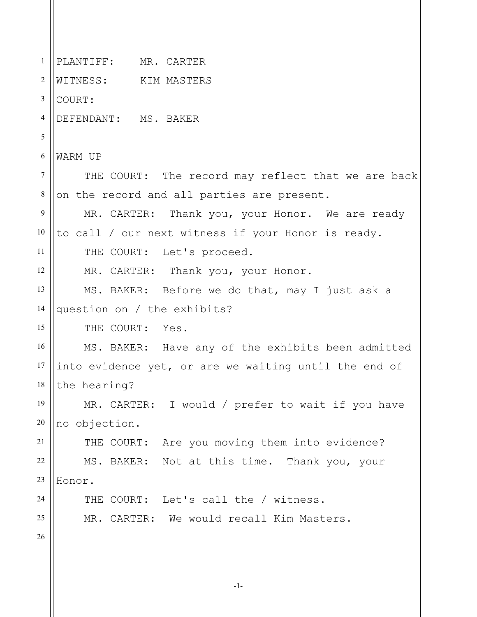1 2 3 4 5 6 7 8 9 10 11 12 13 14 15 16 17 18 19 20 21 22 23 24 25 26 PLANTIFF: MR. CARTER WITNESS: KIM MASTERS COURT: DEFENDANT: MS. BAKER WARM UP THE COURT: The record may reflect that we are back on the record and all parties are present. MR. CARTER: Thank you, your Honor. We are ready to call / our next witness if your Honor is ready. THE COURT: Let's proceed. MR. CARTER: Thank you, your Honor. MS. BAKER: Before we do that, may I just ask a question on / the exhibits? THE COURT: Yes. MS. BAKER: Have any of the exhibits been admitted into evidence yet, or are we waiting until the end of the hearing? MR. CARTER: I would / prefer to wait if you have no objection. THE COURT: Are you moving them into evidence? MS. BAKER: Not at this time. Thank you, your Honor. THE COURT: Let's call the / witness. MR. CARTER: We would recall Kim Masters.

-1-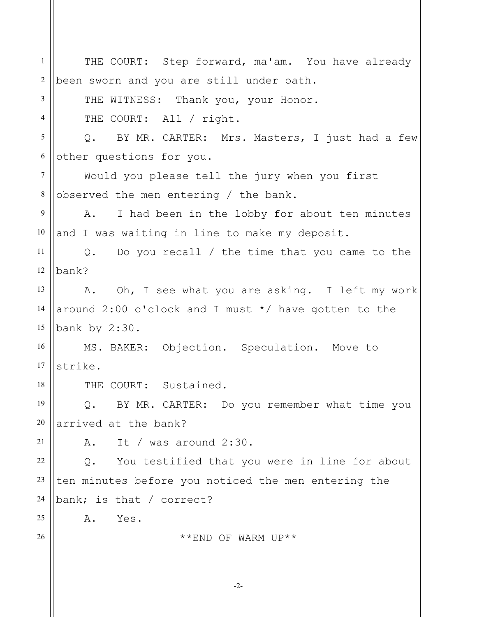| $\mathbf{1}$   | THE COURT: Step forward, ma'am. You have already       |
|----------------|--------------------------------------------------------|
| $\overline{2}$ | been sworn and you are still under oath.               |
| 3              | THE WITNESS: Thank you, your Honor.                    |
| $\overline{4}$ | THE COURT: All / right.                                |
| 5              | Q. BY MR. CARTER: Mrs. Masters, I just had a few       |
| 6              | other questions for you.                               |
| $7\phantom{.}$ | Would you please tell the jury when you first          |
| $8\,$          | observed the men entering / the bank.                  |
| 9              | I had been in the lobby for about ten minutes<br>A.    |
| 10             | and I was waiting in line to make my deposit.          |
| 11             | $Q.$ Do you recall / the time that you came to the     |
| 12             | bank?                                                  |
| 13             | A. Oh, I see what you are asking. I left my work       |
| 14             | around 2:00 o'clock and I must $*/$ have gotten to the |
| 15             | bank by 2:30.                                          |
| 16             | MS. BAKER: Objection. Speculation. Move to             |
| 17             | strike.                                                |
| 18             | THE COURT: Sustained.                                  |
| 19             | BY MR. CARTER: Do you remember what time you<br>$Q$ .  |
| 20             | arrived at the bank?                                   |
| 21             | It / was around $2:30$ .<br>Α.                         |
| 22             | You testified that you were in line for about<br>Q.    |
| 23             | ten minutes before you noticed the men entering the    |
| 24             | bank; is that / correct?                               |
| 25             | Yes.<br>Α.                                             |
| 26             | **END OF WARM UP**                                     |
|                |                                                        |
|                |                                                        |

-2-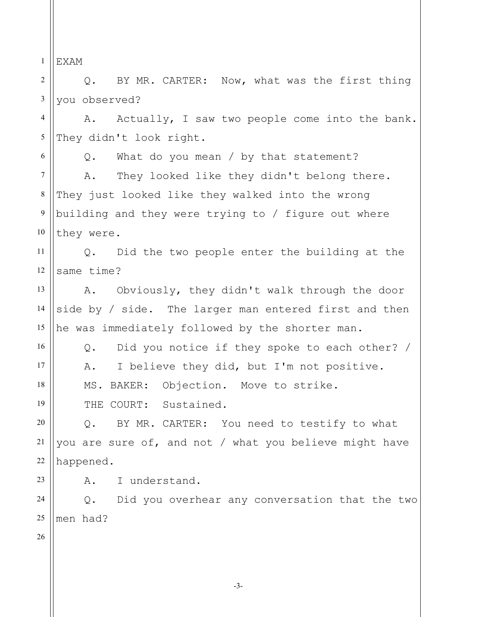1 EXAM

2 3 Q. BY MR. CARTER: Now, what was the first thing you observed?

4 5 A. Actually, I saw two people come into the bank. They didn't look right.

6 7 8 9 10 Q. What do you mean / by that statement? A. They looked like they didn't belong there. They just looked like they walked into the wrong building and they were trying to / figure out where they were.

11 12 Q. Did the two people enter the building at the same time?

13 14 15 A. Obviously, they didn't walk through the door side by / side. The larger man entered first and then he was immediately followed by the shorter man.

Q. Did you notice if they spoke to each other? / A. I believe they did, but I'm not positive.

MS. BAKER: Objection. Move to strike.

THE COURT: Sustained.

Q. BY MR. CARTER: You need to testify to what you are sure of, and not / what you believe might have happened.

A. I understand.

24 25 Q. Did you overhear any conversation that the two men had?

26

16

17

18

19

20

21

22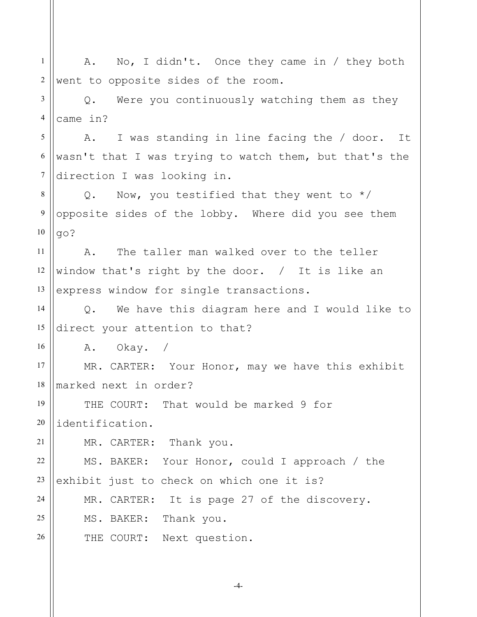| $\mathbf{1}$   | No, I didn't. Once they came in / they both<br>Α.              |
|----------------|----------------------------------------------------------------|
| $\overline{2}$ | went to opposite sides of the room.                            |
| 3              | Were you continuously watching them as they<br>$Q$ .           |
| 4              | came in?                                                       |
| 5              | A. I was standing in line facing the / door. It                |
| 6              | wasn't that I was trying to watch them, but that's the         |
| 7              | direction I was looking in.                                    |
| 8              | Q. Now, you testified that they went to $*/$                   |
| 9              | opposite sides of the lobby. Where did you see them            |
| 10             | go?                                                            |
| 11             | The taller man walked over to the teller<br>A.                 |
| 12             | window that's right by the door. $/$ It is like an             |
| 13             | express window for single transactions.                        |
| 14             | We have this diagram here and I would like to<br>$Q_{\bullet}$ |
| 15             | direct your attention to that?                                 |
| 16             | A. Okay. /                                                     |
| 17             | MR. CARTER: Your Honor, may we have this exhibit               |
| 18             | marked next in order?                                          |
| 19             | THE COURT: That would be marked 9 for                          |
| $20\,$         | identification.                                                |
| 21             | MR. CARTER: Thank you.                                         |
| 22             | MS. BAKER: Your Honor, could I approach / the                  |
| 23             | exhibit just to check on which one it is?                      |
| 24             | MR. CARTER: It is page 27 of the discovery.                    |
| 25             | MS. BAKER: Thank you.                                          |
| 26             | THE COURT: Next question.                                      |
|                |                                                                |

-4-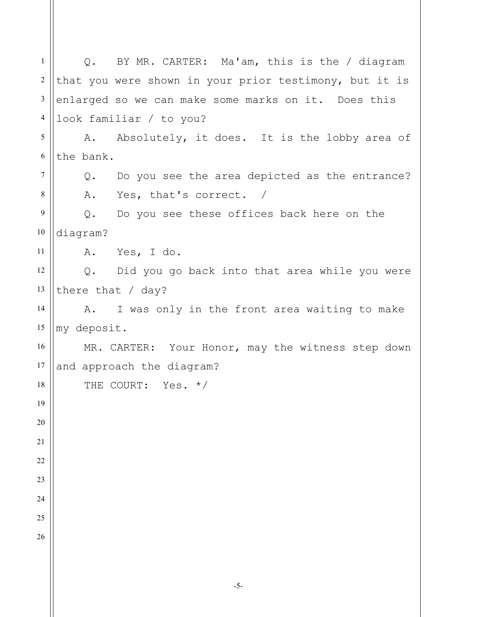1 2 3 4 5 6 7 8 9 10 11 12 13 14 15 16 17 18 19 20 21 22 23 24 25 26 Q. BY MR. CARTER: Ma'am, this is the / diagram that you were shown in your prior testimony, but it is enlarged so we can make some marks on it. Does this look familiar / to you? A. Absolutely, it does. It is the lobby area of the bank. Q. Do you see the area depicted as the entrance? A. Yes, that's correct. / Q. Do you see these offices back here on the diagram? A. Yes, I do. Q. Did you go back into that area while you were there that / day? A. I was only in the front area waiting to make my deposit. MR. CARTER: Your Honor, may the witness step down and approach the diagram? THE COURT: Yes. \*/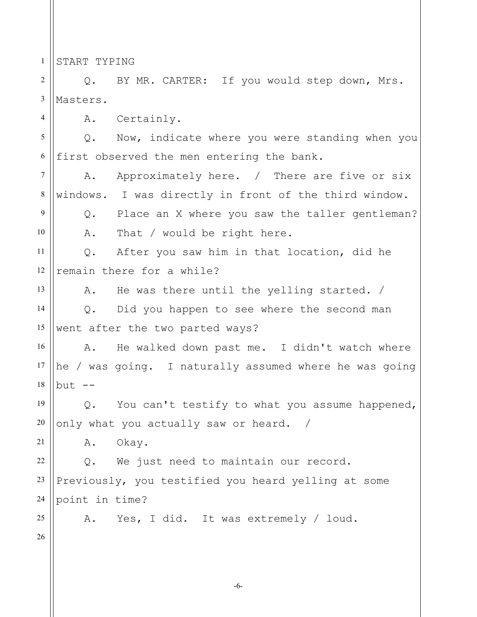1 START TYPING

4

9

10

13

2 3 Q. BY MR. CARTER: If you would step down, Mrs. Masters.

A. Certainly.

5 6 Q. Now, indicate where you were standing when you first observed the men entering the bank.

7 8 A. Approximately here. / There are five or six windows. I was directly in front of the third window.

Q. Place an X where you saw the taller gentleman? A. That / would be right here.

11 12 Q. After you saw him in that location, did he remain there for a while?

A. He was there until the yelling started. /

14 15 Q. Did you happen to see where the second man went after the two parted ways?

16 17 18 A. He walked down past me. I didn't watch where he / was going. I naturally assumed where he was going  $but$   $--$ 

19 20 Q. You can't testify to what you assume happened, only what you actually saw or heard. /

A. Okay.

22 23 24 Q. We just need to maintain our record. Previously, you testified you heard yelling at some point in time?

A. Yes, I did. It was extremely / loud.

26

25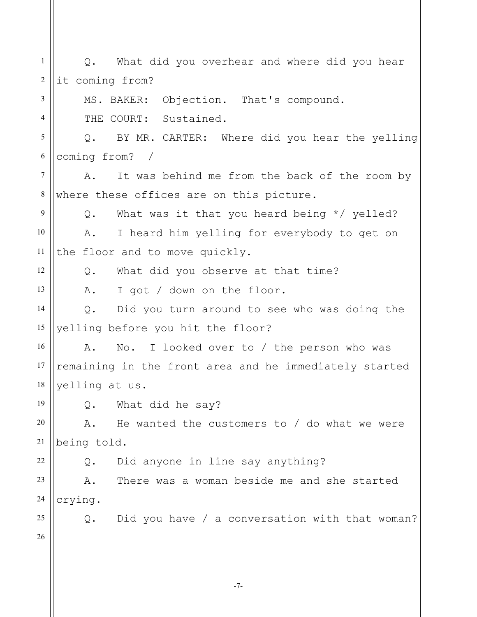| $\mathbf{1}$   | Q. What did you overhear and where did you hear               |
|----------------|---------------------------------------------------------------|
| $\overline{2}$ | it coming from?                                               |
| 3              | MS. BAKER: Objection. That's compound.                        |
| $\overline{4}$ | THE COURT: Sustained.                                         |
| 5              | Q. BY MR. CARTER: Where did you hear the yelling              |
| 6              | coming from? /                                                |
| $\overline{7}$ | It was behind me from the back of the room by<br>Α.           |
| $\,8\,$        | where these offices are on this picture.                      |
| 9              | Q. What was it that you heard being $*/$ yelled?              |
| 10             | I heard him yelling for everybody to get on<br>A.             |
| 11             | the floor and to move quickly.                                |
| 12             | What did you observe at that time?<br>$Q_{\bullet}$           |
| 13             | Α.<br>I got / down on the floor.                              |
| 14             | Did you turn around to see who was doing the<br>$Q_{\bullet}$ |
| 15             | yelling before you hit the floor?                             |
| 16             | No. I looked over to / the person who was<br>Α.               |
| 17             | remaining in the front area and he immediately started        |
| 18             | yelling at us.                                                |
| 19             | What did he say?<br>Q.                                        |
| 20             | He wanted the customers to $/$ do what we were<br>Α.          |
| 21             | being told.                                                   |
| 22             | Did anyone in line say anything?<br>Q.                        |
| 23             | There was a woman beside me and she started<br>Α.             |
| 24             | crying.                                                       |
| 25             | Did you have / a conversation with that woman?<br>Q.          |
| 26             |                                                               |
|                |                                                               |
|                | $-7-$                                                         |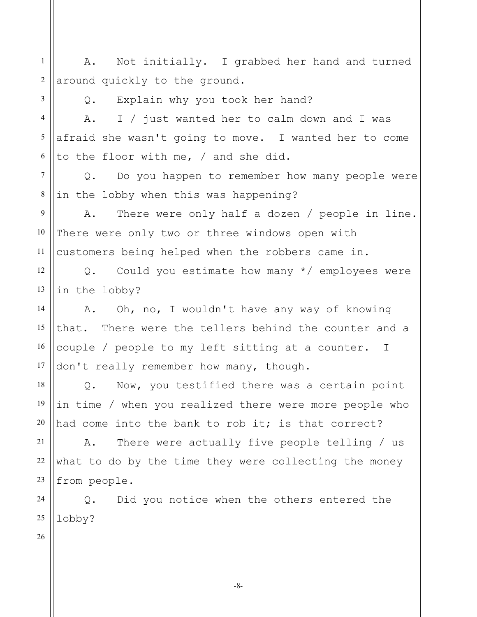1 2 A. Not initially. I grabbed her hand and turned around quickly to the ground.

3

Q. Explain why you took her hand?

4 5 6 A. I / just wanted her to calm down and I was afraid she wasn't going to move. I wanted her to come to the floor with me, / and she did.

7 8 Q. Do you happen to remember how many people were in the lobby when this was happening?

9 10 11 A. There were only half a dozen / people in line. There were only two or three windows open with customers being helped when the robbers came in.

12 13 Q. Could you estimate how many \*/ employees were in the lobby?

14 15 16 17 A. Oh, no, I wouldn't have any way of knowing that. There were the tellers behind the counter and a couple / people to my left sitting at a counter. I don't really remember how many, though.

18 19 20 Q. Now, you testified there was a certain point in time / when you realized there were more people who had come into the bank to rob it; is that correct?

21 22 23 A. There were actually five people telling / us what to do by the time they were collecting the money from people.

24 25 Q. Did you notice when the others entered the lobby?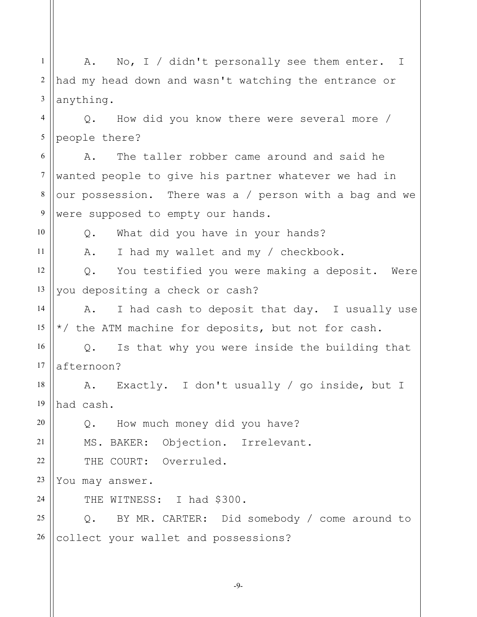1 2 3 4 5 6 7 8 9 10 11 12 13 14 15 16 17 18 19 20 21 22 23 24 25 26 A. No, I / didn't personally see them enter. I had my head down and wasn't watching the entrance or anything. Q. How did you know there were several more / people there? A. The taller robber came around and said he wanted people to give his partner whatever we had in our possession. There was a / person with a bag and we were supposed to empty our hands. Q. What did you have in your hands? A. I had my wallet and my / checkbook. Q. You testified you were making a deposit. Were you depositing a check or cash? A. I had cash to deposit that day. I usually use \*/ the ATM machine for deposits, but not for cash. Q. Is that why you were inside the building that afternoon? A. Exactly. I don't usually / go inside, but I had cash. Q. How much money did you have? MS. BAKER: Objection. Irrelevant. THE COURT: Overruled. You may answer. THE WITNESS: I had \$300. Q. BY MR. CARTER: Did somebody / come around to collect your wallet and possessions?

-9-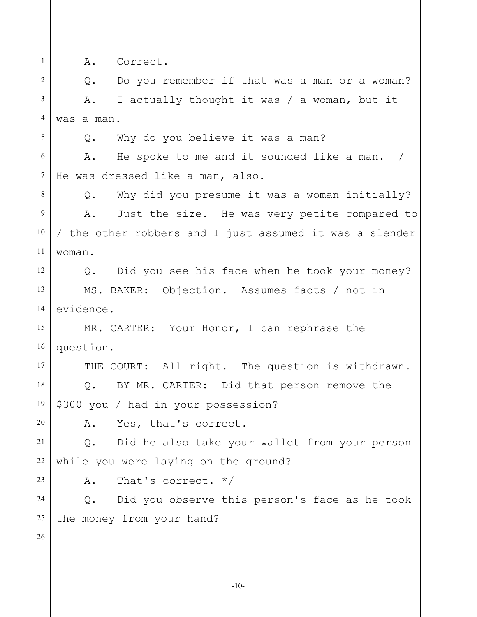1 2 3 4 5 6 7 8 9 10 11 12 13 14 15 16 17 18 19 20 21 22 23 24 25 26 A. Correct. Q. Do you remember if that was a man or a woman? A. I actually thought it was / a woman, but it was a man. Q. Why do you believe it was a man? A. He spoke to me and it sounded like a man. / He was dressed like a man, also. Q. Why did you presume it was a woman initially? A. Just the size. He was very petite compared to / the other robbers and I just assumed it was a slender woman. Q. Did you see his face when he took your money? MS. BAKER: Objection. Assumes facts / not in evidence. MR. CARTER: Your Honor, I can rephrase the question. THE COURT: All right. The question is withdrawn. Q. BY MR. CARTER: Did that person remove the \$300 you / had in your possession? A. Yes, that's correct. Q. Did he also take your wallet from your person while you were laying on the ground? A. That's correct. \*/ Q. Did you observe this person's face as he took the money from your hand?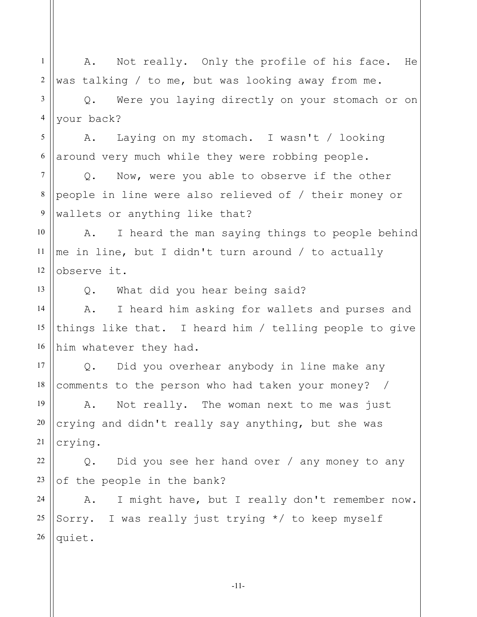1 2 3 4 5 6 7 8 9 10 11 12 13 14 15 16 17 18 19 20 21 22 23 24 25 26 A. Not really. Only the profile of his face. He was talking / to me, but was looking away from me. Q. Were you laying directly on your stomach or on your back? A. Laying on my stomach. I wasn't / looking around very much while they were robbing people. Q. Now, were you able to observe if the other people in line were also relieved of / their money or wallets or anything like that? A. I heard the man saying things to people behind me in line, but I didn't turn around / to actually observe it. Q. What did you hear being said? A. I heard him asking for wallets and purses and things like that. I heard him / telling people to give him whatever they had. Q. Did you overhear anybody in line make any comments to the person who had taken your money? / A. Not really. The woman next to me was just crying and didn't really say anything, but she was crying. Q. Did you see her hand over / any money to any of the people in the bank? A. I might have, but I really don't remember now. Sorry. I was really just trying \*/ to keep myself quiet.

-11-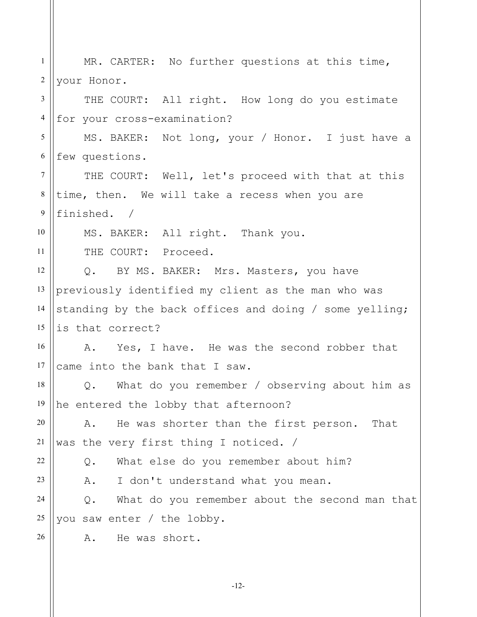| $\mathbf{1}$     | MR. CARTER: No further questions at this time,         |
|------------------|--------------------------------------------------------|
| $\overline{2}$   | your Honor.                                            |
| 3                | THE COURT: All right. How long do you estimate         |
| $\overline{4}$   | for your cross-examination?                            |
| 5                | MS. BAKER: Not long, your / Honor. I just have a       |
| 6                | few questions.                                         |
| $\tau$           | THE COURT: Well, let's proceed with that at this       |
| 8                | time, then. We will take a recess when you are         |
| $\boldsymbol{9}$ | finished. /                                            |
| 10               | MS. BAKER: All right. Thank you.                       |
| 11               | THE COURT: Proceed.                                    |
| 12               | Q. BY MS. BAKER: Mrs. Masters, you have                |
| 13               | previously identified my client as the man who was     |
| 14               | standing by the back offices and doing / some yelling; |
| 15               | is that correct?                                       |
| 16               | A. Yes, I have. He was the second robber that          |
| 17               | came into the bank that I saw.                         |
| 18               | Q. What do you remember / observing about him as       |
| 19               | he entered the lobby that afternoon?                   |
| 20               | He was shorter than the first person. That<br>Α.       |
| 21               | was the very first thing I noticed. /                  |
| 22               | What else do you remember about him?<br>Q.             |
| 23               | I don't understand what you mean.<br>Α.                |
| 24               | What do you remember about the second man that<br>Q.   |
| 25               | you saw enter / the lobby.                             |
| 26               | He was short.<br>Α.                                    |
|                  |                                                        |

-12-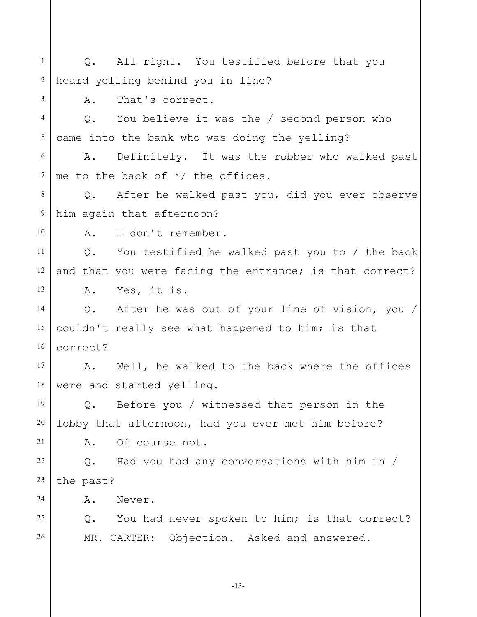1 2 3 4 5 6 7 8 9 10 11 12 13 14 15 16 17 18 19 20 21 22 23 24 25 26 Q. All right. You testified before that you heard yelling behind you in line? A. That's correct. Q. You believe it was the / second person who came into the bank who was doing the yelling? A. Definitely. It was the robber who walked past me to the back of \*/ the offices. Q. After he walked past you, did you ever observe him again that afternoon? A. I don't remember. Q. You testified he walked past you to / the back and that you were facing the entrance; is that correct? A. Yes, it is. Q. After he was out of your line of vision, you / couldn't really see what happened to him; is that correct? A. Well, he walked to the back where the offices were and started yelling. Q. Before you / witnessed that person in the lobby that afternoon, had you ever met him before? A. Of course not. Q. Had you had any conversations with him in / the past? A. Never. Q. You had never spoken to him; is that correct? MR. CARTER: Objection. Asked and answered.

-13-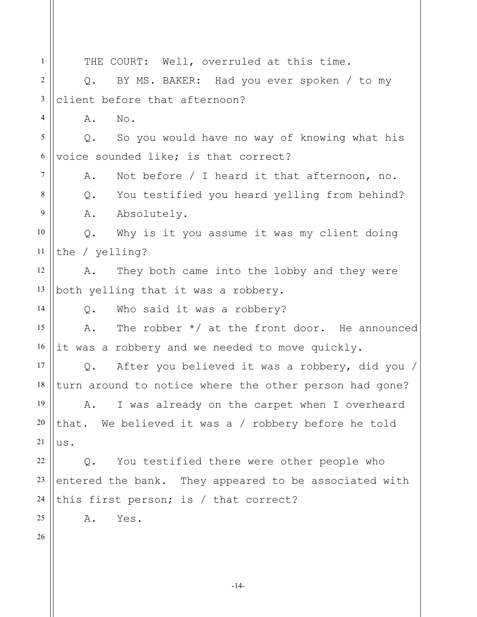1 2 3 4 5 6 7 8 9 10 11 12 13 14 15 16 17 18 19 20 21 22 23 24 25 26 THE COURT: Well, overruled at this time. Q. BY MS. BAKER: Had you ever spoken / to my client before that afternoon? A. No. Q. So you would have no way of knowing what his voice sounded like; is that correct? A. Not before / I heard it that afternoon, no. Q. You testified you heard yelling from behind? A. Absolutely. Q. Why is it you assume it was my client doing the / yelling? A. They both came into the lobby and they were both yelling that it was a robbery. Q. Who said it was a robbery? A. The robber \*/ at the front door. He announced it was a robbery and we needed to move quickly. Q. After you believed it was a robbery, did you / turn around to notice where the other person had gone? A. I was already on the carpet when I overheard that. We believed it was a / robbery before he told us. Q. You testified there were other people who entered the bank. They appeared to be associated with this first person; is / that correct? A. Yes.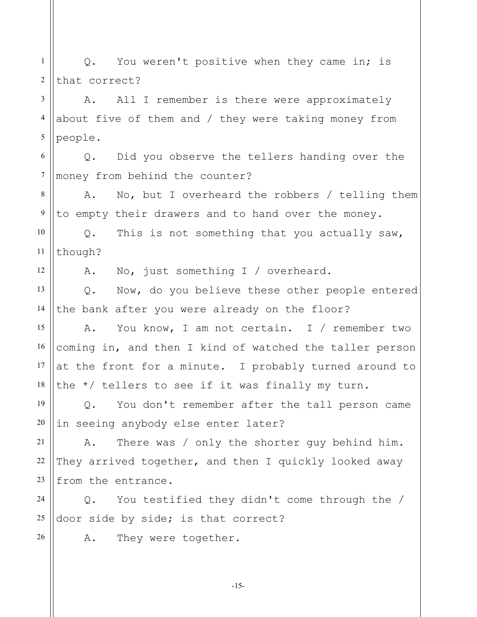1 2 Q. You weren't positive when they came in; is that correct?

3 4 5 A. All I remember is there were approximately about five of them and / they were taking money from people.

6 7 Q. Did you observe the tellers handing over the money from behind the counter?

8 9 A. No, but I overheard the robbers / telling them to empty their drawers and to hand over the money.

10 11 Q. This is not something that you actually saw, though?

12

26

A. No, just something I / overheard.

13 14 Q. Now, do you believe these other people entered the bank after you were already on the floor?

15 16 17 18 A. You know, I am not certain. I / remember two coming in, and then I kind of watched the taller person at the front for a minute. I probably turned around to the \*/ tellers to see if it was finally my turn.

19 20 Q. You don't remember after the tall person came in seeing anybody else enter later?

21 22 23 A. There was / only the shorter guy behind him. They arrived together, and then I quickly looked away from the entrance.

24 25 Q. You testified they didn't come through the / door side by side; is that correct?

A. They were together.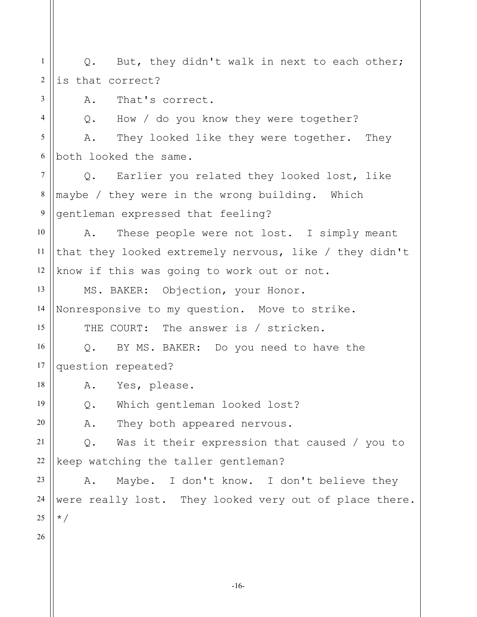1 2 Q. But, they didn't walk in next to each other; is that correct?

A. That's correct.

4 5 6 Q. How / do you know they were together? A. They looked like they were together. They both looked the same.

7 8 9 Q. Earlier you related they looked lost, like maybe / they were in the wrong building. Which gentleman expressed that feeling?

10 11 12 A. These people were not lost. I simply meant that they looked extremely nervous, like / they didn't know if this was going to work out or not.

13 14 MS. BAKER: Objection, your Honor. Nonresponsive to my question. Move to strike.

THE COURT: The answer is / stricken.

16 17 Q. BY MS. BAKER: Do you need to have the question repeated?

A. Yes, please.

Q. Which gentleman looked lost?

A. They both appeared nervous.

21 22 Q. Was it their expression that caused / you to keep watching the taller gentleman?

23 24 25 A. Maybe. I don't know. I don't believe they were really lost. They looked very out of place there. \*/

26

15

18

19

20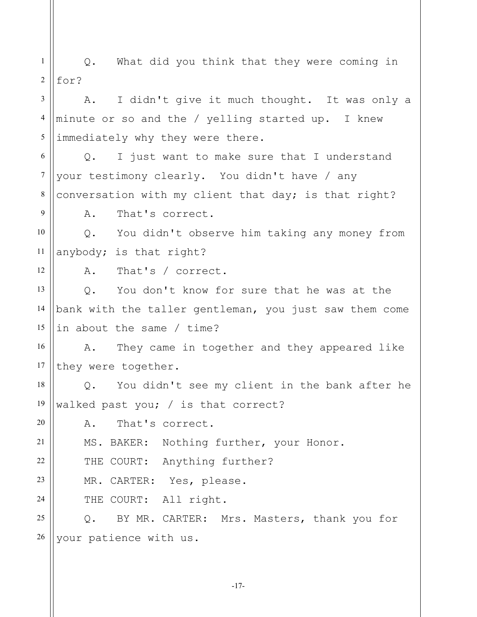1 2 3 4 5 6 7 8 9 10 11 12 13 14 15 16 17 18 19 20 21 22 23 24 25 26 Q. What did you think that they were coming in for? A. I didn't give it much thought. It was only a minute or so and the / yelling started up. I knew immediately why they were there. Q. I just want to make sure that I understand your testimony clearly. You didn't have / any conversation with my client that day; is that right? A. That's correct. Q. You didn't observe him taking any money from anybody; is that right? A. That's / correct. Q. You don't know for sure that he was at the bank with the taller gentleman, you just saw them come in about the same / time? A. They came in together and they appeared like they were together. Q. You didn't see my client in the bank after he walked past you; / is that correct? A. That's correct. MS. BAKER: Nothing further, your Honor. THE COURT: Anything further? MR. CARTER: Yes, please. THE COURT: All right. Q. BY MR. CARTER: Mrs. Masters, thank you for your patience with us.

-17-